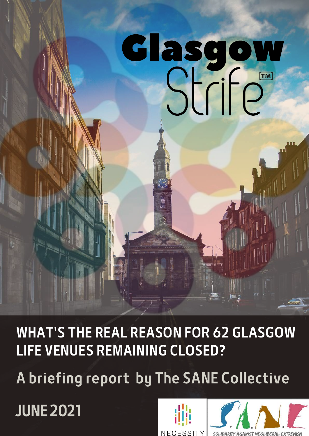# Glasgow asyow<br>Strife

WHAT'S THE REAL REASON FOR 62 GLASGOW LIFE VENUES REMAINING CLOSED?

A briefing report by The SANE Collective

JUNE 2021



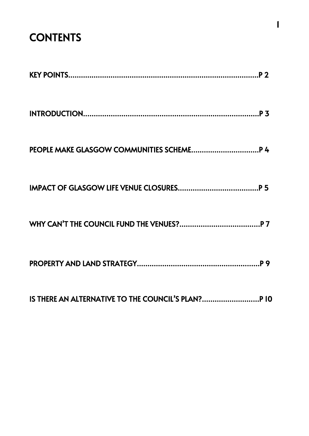## **CONTENTS**

| IS THERE AN ALTERNATIVE TO THE COUNCIL'S PLAN? P 10 |
|-----------------------------------------------------|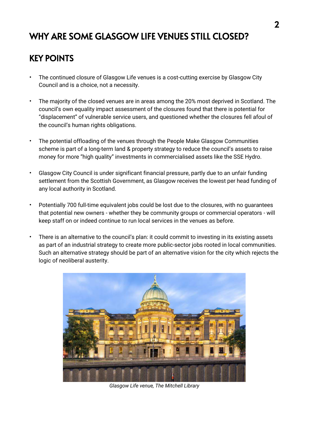## WHY ARE SOME GLASGOW LIFE VENUES STILL CLOSED?

#### KEY POINTS

- The continued closure of Glasgow Life venues is a cost-cutting exercise by Glasgow City Council and is a choice, not a necessity.
- The majority of the closed venues are in areas among the 20% most deprived in Scotland. The council's own equality impact assessment of the closures found that there is potential for "displacement" of vulnerable service users, and questioned whether the closures fell afoul of the council's human rights obligations.
- The potential offloading of the venues through the People Make Glasgow Communities scheme is part of a long-term land & property strategy to reduce the council's assets to raise money for more "high quality" investments in commercialised assets like the SSE Hydro.
- Glasgow City Council is under significant financial pressure, partly due to an unfair funding settlement from the Scottish Government, as Glasgow receives the lowest per head funding of any local authority in Scotland.
- Potentially 700 full-time equivalent jobs could be lost due to the closures, with no guarantees that potential new owners - whether they be community groups or commercial operators - will keep staff on or indeed continue to run local services in the venues as before.
- There is an alternative to the council's plan: it could commit to investing in its existing assets as part of an industrial strategy to create more public-sector jobs rooted in local communities. Such an alternative strategy should be part of an alternative vision for the city which rejects the logic of neoliberal austerity.



*Glasgow Life venue, The Mitchell Library*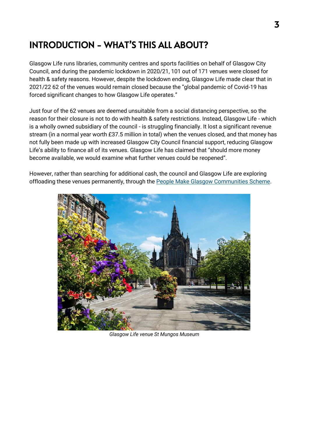### INTRODUCTION - WHAT'S THIS ALL ABOUT?

Glasgow Life runs libraries, community centres and sports facilities on behalf of Glasgow City Council, and during the pandemic lockdown in 2020/21, 101 out of 171 venues were closed for health & safety reasons. However, despite the lockdown ending, Glasgow Life made clear that in 2021/22 62 of the venues would remain closed because the "global pandemic of Covid-19 has forced significant changes to how Glasgow Life operates."

Just four of the 62 venues are deemed unsuitable from a social distancing perspective, so the reason for their closure is not to do with health & safety restrictions. Instead, Glasgow Life - which is a wholly owned subsidiary of the council - is struggling financially. It lost a significant revenue stream (in a normal year worth £37.5 million in total) when the venues closed, and that money has not fully been made up with increased Glasgow City Council financial support, reducing Glasgow Life's ability to finance all of its venues. Glasgow Life has claimed that "should more money become available, we would examine what further venues could be reopened".

However, rather than searching for additional cash, the council and Glasgow Life are exploring offloading these venues permanently, through the [People Make Glasgow Communities Scheme.](https://www.glasgow.gov.uk/communities)



*Glasgow Life venue St Mungos Museum*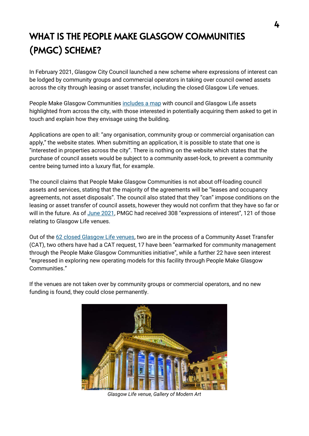## WHAT IS THE PEOPLE MAKE GLASGOW COMMUNITIES (PMGC) SCHEME?

In February 2021, Glasgow City Council launched a new scheme where expressions of interest can be lodged by community groups and commercial operators in taking over council owned assets across the city through leasing or asset transfer, including the closed Glasgow Life venues.

People Make Glasgow Communities [includes a map](https://experience.arcgis.com/experience/071d077bf54e498da21009a6a775ba4c) with council and Glasgow Life assets highlighted from across the city, with those interested in potentially acquiring them asked to get in touch and explain how they envisage using the building.

Applications are open to all: "any organisation, community group or commercial organisation can apply," the website states. When submitting an application, it is possible to state that one is "interested in properties across the city". There is nothing on the website which states that the purchase of council assets would be subject to a community asset-lock, to prevent a community centre being turned into a luxury flat, for example.

The council claims that People Make Glasgow Communities is not about off-loading council assets and services, stating that the majority of the agreements will be "leases and occupancy agreements, not asset disposals". The council also stated that they "can" impose conditions on the leasing or asset transfer of council assets, however they would not confirm that they have so far or will in the future. As of [June 2021](https://www.glasgow.gov.uk/councillorsandcommittees/viewPack.asp?c=P62AFQDXDNNT2UDNB253YXYXQAJ5I77DJ52AFQDN81UT2UNT), PMGC had received 308 "expressions of interest", 121 of those relating to Glasgow Life venues.

Out of the [62 closed Glasgow Life venues,](https://www.glasgowlife.org.uk/media/7298/20210520-venues-status-may-2021.pdf) two are in the process of a Community Asset Transfer (CAT), two others have had a CAT request, 17 have been "earmarked for community management through the People Make Glasgow Communities initiative", while a further 22 have seen interest "expressed in exploring new operating models for this facility through People Make Glasgow Communities."

If the venues are not taken over by community groups or commercial operators, and no new funding is found, they could close permanently.



*Glasgow Life venue, Gallery of Modern Art*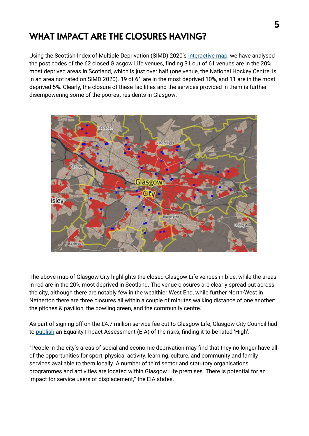## WHAT IMPACT ARE THE CLOSURES HAVING?

Using the Scottish Index of Multiple Deprivation (SIMD) 2020's [interactive map,](https://simd.scot/#/simd2020/BTTTFTT/9/-4.0000/55.9000/) we have analysed the post codes of the 62 closed Glasgow Life venues, finding 31 out of 61 venues are in the 20% most deprived areas in Scotland, which is just over half (one venue, the National Hockey Centre, is in an area not rated on SIMD 2020). 19 of 61 are in the most deprived 10%, and 11 are in the most deprived 5%. Clearly, the closure of these facilities and the services provided in them is further disempowering some of the poorest residents in Glasgow.



The above map of Glasgow City highlights the closed Glasgow Life venues in blue, while the areas in red are in the 20% most deprived in Scotland. The venue closures are clearly spread out across the city, although there are notably few in the wealthier West End, while further North-West in Netherton there are three closures all within a couple of minutes walking distance of one another: the pitches & pavilion, the bowling green, and the community centre.

As part of signing off on the £4.7 million service fee cut to Glasgow Life, Glasgow City Council had to [publish](https://www.glasgow.gov.uk/councillorsandcommittees/viewDoc.asp?c=P62AFQDNDXZ3DNDN0G) an Equality Impact Assessment (EIA) of the risks, finding it to be rated 'High'.

"People in the city's areas of social and economic deprivation may find that they no longer have all of the opportunities for sport, physical activity, learning, culture, and community and family services available to them locally. A number of third sector and statutory organisations, programmes and activities are located within Glasgow Life premises. There is potential for an impact for service users of displacement," the EIA states.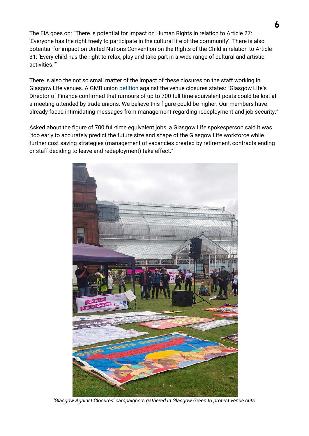The EIA goes on: "There is potential for impact on Human Rights in relation to Article 27: 'Everyone has the right freely to participate in the cultural life of the community'. There is also potential for impact on United Nations Convention on the Rights of the Child in relation to Article 31: 'Every child has the right to relax, play and take part in a wide range of cultural and artistic activities.'"

There is also the not so small matter of the impact of these closures on the staff working in Glasgow Life venues. A GMB union [petition](https://you.38degrees.org.uk/petitions/glasgow-deserves-better-1?fbclid=IwAR2XJHF-NBMh9xwhCN8Pev_MS1EkHZUMWF0aR4ldpZUmj2_7MPajuojlDqk) against the venue closures states: "Glasgow Life's Director of Finance confirmed that rumours of up to 700 full time equivalent posts could be lost at a meeting attended by trade unions. We believe this figure could be higher. Our members have already faced intimidating messages from management regarding redeployment and job security."

Asked about the figure of 700 full-time equivalent jobs, a Glasgow Life spokesperson said it was "too early to accurately predict the future size and shape of the Glasgow Life workforce while further cost saving strategies (management of vacancies created by retirement, contracts ending or staff deciding to leave and redeployment) take effect."



*'Glasgow Against Closures' campaigners gathered in Glasgow Green to protest venue cuts*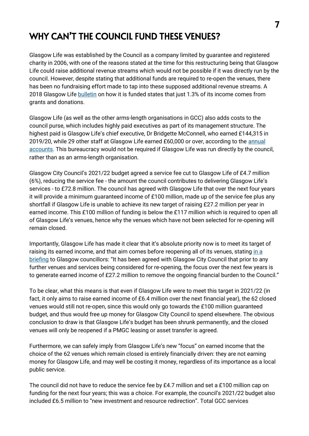### WHY CAN'T THE COUNCIL FUND THESE VENUES?

Glasgow Life was established by the Council as a company limited by guarantee and registered charity in 2006, with one of the reasons stated at the time for this restructuring being that Glasgow Life could raise additional revenue streams which would not be possible if it was directly run by the council. However, despite stating that additional funds are required to re-open the venues, there has been no fundraising effort made to tap into these supposed additional revenue streams. A 2018 Glasgow Life [bulletin](https://prodglportalv2.azureedge.net/media/3525/how-glasgow-life-is-funded.pdf) on how it is funded states that just 1.3% of its income comes from grants and donations.

Glasgow Life (as well as the other arms-length organisations in GCC) also adds costs to the council purse, which includes highly paid executives as part of its management structure. The highest paid is Glasgow Life's chief executive, Dr Bridgette McConnell, who earned £144,315 in 2019/20, while 29 other staff at Glasgow Life earned £60,000 or over, according to the annual [accounts.](https://prodglportalv2.azureedge.net/media/6888/report-and-financial-statement-to-31-march-2020.pdf) This bureaucracy would not be required if Glasgow Life was run directly by the council, rather than as an arms-length organisation.

Glasgow City Council's 2021/22 budget agreed a service fee cut to Glasgow Life of £4.7 million (6%), reducing the service fee - the amount the council contributes to delivering Glasgow Life's services - to £72.8 million. The council has agreed with Glasgow Life that over the next four years it will provide a minimum guaranteed income of £100 million, made up of the service fee plus any shortfall if Glasgow Life is unable to achieve its new target of raising £27.2 million per year in earned income. This £100 million of funding is below the £117 million which is required to open all of Glasgow Life's venues, hence why the venues which have not been selected for re-opening will remain closed.

Importantly, Glasgow Life has made it clear that it's absolute priority now is to meet its target of raising its earned income, and that aim comes before reopening all of its venues, stating in a [briefing](https://www.glasgow.gov.uk/councillorsandcommittees/viewPack.asp?c=P62AFQDXDNNT2UDNB253YXYXQAJ5I77DJ52AFQDN81UT2UNT) to Glasgow councillors: "It has been agreed with Glasgow City Council that prior to any further venues and services being considered for re-opening, the focus over the next few years is to generate earned income of £27.2 million to remove the ongoing financial burden to the Council."

To be clear, what this means is that even if Glasgow Life were to meet this target in 2021/22 (in fact, it only aims to raise earned income of £6.4 million over the next financial year), the 62 closed venues would still not re-open, since this would only go towards the £100 million guaranteed budget, and thus would free up money for Glasgow City Council to spend elsewhere. The obvious conclusion to draw is that Glasgow Life's budget has been shrunk permanently, and the closed venues will only be reopened if a PMGC leasing or asset transfer is agreed.

Furthermore, we can safely imply from Glasgow Life's new "focus" on earned income that the choice of the 62 venues which remain closed is entirely financially driven: they are not earning money for Glasgow Life, and may well be costing it money, regardless of its importance as a local public service.

The council did not have to reduce the service fee by £4.7 million and set a £100 million cap on funding for the next four years; this was a choice. For example, the council's 2021/22 budget also included £6.5 million to "new investment and resource redirection". Total GCC services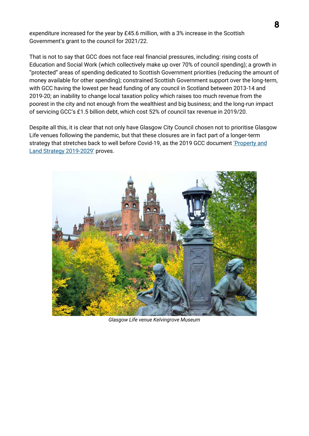expenditure increased for the year by £45.6 million, with a 3% increase in the Scottish Government's grant to the council for 2021/22.

That is not to say that GCC does not face real financial pressures, including: rising costs of Education and Social Work (which collectively make up over 70% of council spending); a growth in "protected" areas of spending dedicated to Scottish Government priorities (reducing the amount of money available for other spending); constrained Scottish Government support over the long-term, with GCC having the lowest per head funding of any council in Scotland between 2013-14 and 2019-20; an inability to change local taxation policy which raises too much revenue from the poorest in the city and not enough from the wealthiest and big business; and the long-run impact of servicing GCC's £1.5 billion debt, which cost 52% of council tax revenue in 2019/20.

Despite all this, it is clear that not only have Glasgow City Council chosen not to prioritise Glasgow Life venues following the pandemic, but that these closures are in fact part of a longer-term strategy that stretches back to well before Covid-19, as the 2019 GCC document ['Property and](https://www.glasgow.gov.uk/Councillorsandcommittees/viewSelectedDocument.asp?c=P62AFQDN0GT10G81DN)  [Land Strategy 2019-](https://www.glasgow.gov.uk/Councillorsandcommittees/viewSelectedDocument.asp?c=P62AFQDN0GT10G81DN)2029' proves.



*Glasgow Life venue Kelvingrove Museum*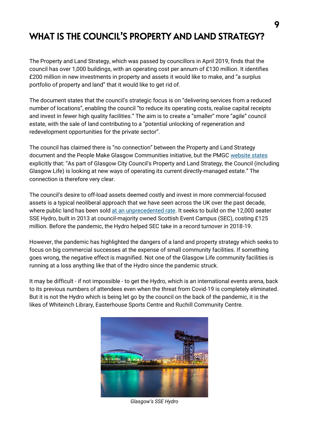#### WHAT IS THE COUNCIL'S PROPERTY AND LAND STRATEGY?

The Property and Land Strategy, which was passed by councillors in April 2019, finds that the council has over 1,000 buildings, with an operating cost per annum of £130 million. It identifies £200 million in new investments in property and assets it would like to make, and "a surplus portfolio of property and land" that it would like to get rid of.

The document states that the council's strategic focus is on "delivering services from a reduced number of locations", enabling the council "to reduce its operating costs, realise capital receipts and invest in fewer high quality facilities." The aim is to create a "smaller" more "agile" council estate, with the sale of land contributing to a "potential unlocking of regeneration and redevelopment opportunities for the private sector".

The council has claimed there is "no connection" between the Property and Land Strategy document and the People Make Glasgow Communities initiative, but the PMGC [website states](https://www.glasgow.gov.uk/index.aspx?articleid=26739) explicitly that: "As part of Glasgow City Council's Property and Land Strategy, the Council (including Glasgow Life) is looking at new ways of operating its current directly-managed estate." The connection is therefore very clear.

The council's desire to off-load assets deemed costly and invest in more commercial-focused assets is a typical neoliberal approach that we have seen across the UK over the past decade, where public land has been sol[d at an unprecedented rate.](https://www.theguardian.com/cities/2019/mar/05/great-british-sell-off-how-desperate-councils-sold-91bn-of-public-assets) It seeks to build on the 12,000 seater SSE Hydro, built in 2013 at council-majority owned Scottish Event Campus (SEC), costing £125 million. Before the pandemic, the Hydro helped SEC take in a record turnover in 2018-19.

However, the pandemic has highlighted the dangers of a land and property strategy which seeks to focus on big commercial successes at the expense of small community facilities. If something goes wrong, the negative effect is magnified. Not one of the Glasgow Life community facilities is running at a loss anything like that of the Hydro since the pandemic struck.

It may be difficult - if not impossible - to get the Hydro, which is an international events arena, back to its previous numbers of attendees even when the threat from Covid-19 is completely eliminated. But it is not the Hydro which is being let go by the council on the back of the pandemic, it is the likes of Whiteinch Library, Easterhouse Sports Centre and Ruchill Community Centre.



*Glasgow's SSE Hydro*